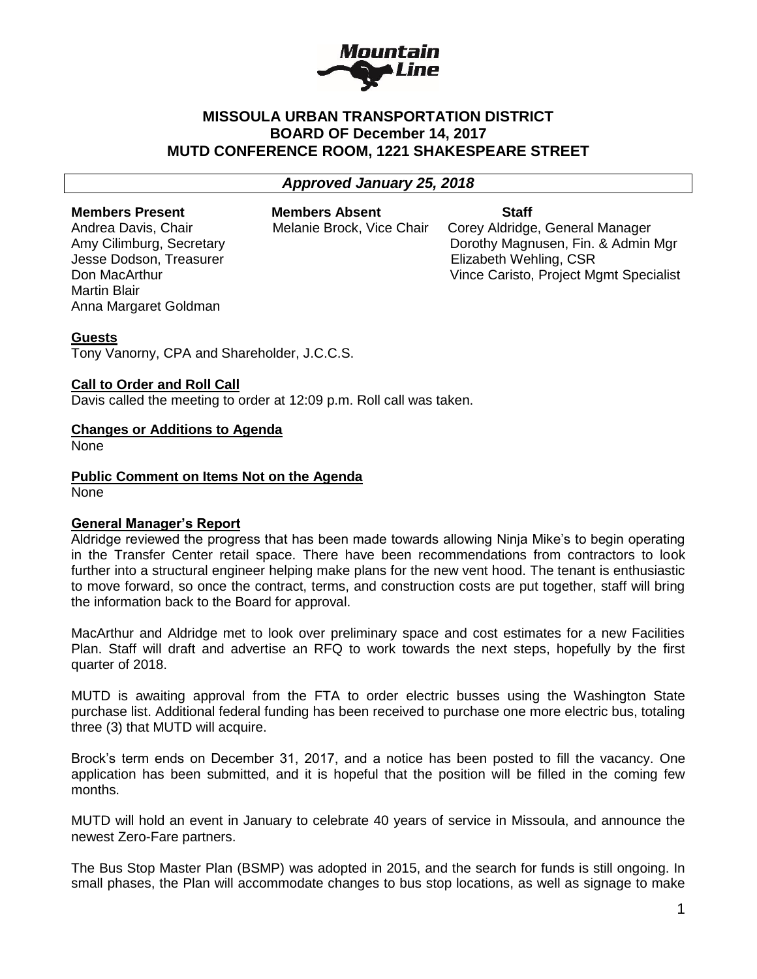

# **MISSOULA URBAN TRANSPORTATION DISTRICT BOARD OF December 14, 2017 MUTD CONFERENCE ROOM, 1221 SHAKESPEARE STREET**

# *Approved January 25, 2018*

Jesse Dodson, Treasurer Elizabeth Wehling, CSR Martin Blair Anna Margaret Goldman

**Members Present Members Absent Staff**

Andrea Davis, Chair **Melanie Brock, Vice Chair** Corey Aldridge, General Manager Amy Cilimburg, Secretary Dorothy Magnusen, Fin. & Admin Mgr Don MacArthur Vince Caristo, Project Mgmt Specialist

### **Guests**

Tony Vanorny, CPA and Shareholder, J.C.C.S.

### **Call to Order and Roll Call**

Davis called the meeting to order at 12:09 p.m. Roll call was taken.

### **Changes or Additions to Agenda**

None

**Public Comment on Items Not on the Agenda** None

#### **General Manager's Report**

Aldridge reviewed the progress that has been made towards allowing Ninja Mike's to begin operating in the Transfer Center retail space. There have been recommendations from contractors to look further into a structural engineer helping make plans for the new vent hood. The tenant is enthusiastic to move forward, so once the contract, terms, and construction costs are put together, staff will bring the information back to the Board for approval.

MacArthur and Aldridge met to look over preliminary space and cost estimates for a new Facilities Plan. Staff will draft and advertise an RFQ to work towards the next steps, hopefully by the first quarter of 2018.

MUTD is awaiting approval from the FTA to order electric busses using the Washington State purchase list. Additional federal funding has been received to purchase one more electric bus, totaling three (3) that MUTD will acquire.

Brock's term ends on December 31, 2017, and a notice has been posted to fill the vacancy. One application has been submitted, and it is hopeful that the position will be filled in the coming few months.

MUTD will hold an event in January to celebrate 40 years of service in Missoula, and announce the newest Zero-Fare partners.

The Bus Stop Master Plan (BSMP) was adopted in 2015, and the search for funds is still ongoing. In small phases, the Plan will accommodate changes to bus stop locations, as well as signage to make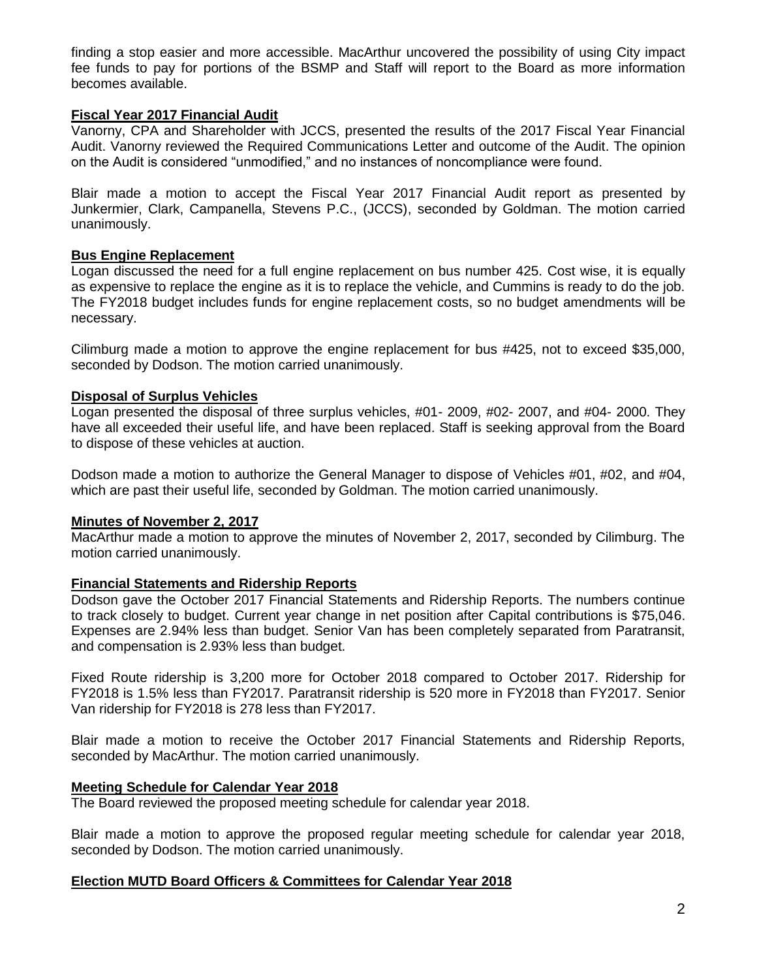finding a stop easier and more accessible. MacArthur uncovered the possibility of using City impact fee funds to pay for portions of the BSMP and Staff will report to the Board as more information becomes available.

## **Fiscal Year 2017 Financial Audit**

Vanorny, CPA and Shareholder with JCCS, presented the results of the 2017 Fiscal Year Financial Audit. Vanorny reviewed the Required Communications Letter and outcome of the Audit. The opinion on the Audit is considered "unmodified," and no instances of noncompliance were found.

Blair made a motion to accept the Fiscal Year 2017 Financial Audit report as presented by Junkermier, Clark, Campanella, Stevens P.C., (JCCS), seconded by Goldman. The motion carried unanimously.

### **Bus Engine Replacement**

Logan discussed the need for a full engine replacement on bus number 425. Cost wise, it is equally as expensive to replace the engine as it is to replace the vehicle, and Cummins is ready to do the job. The FY2018 budget includes funds for engine replacement costs, so no budget amendments will be necessary.

Cilimburg made a motion to approve the engine replacement for bus #425, not to exceed \$35,000, seconded by Dodson. The motion carried unanimously.

### **Disposal of Surplus Vehicles**

Logan presented the disposal of three surplus vehicles, #01- 2009, #02- 2007, and #04- 2000. They have all exceeded their useful life, and have been replaced. Staff is seeking approval from the Board to dispose of these vehicles at auction.

Dodson made a motion to authorize the General Manager to dispose of Vehicles #01, #02, and #04, which are past their useful life, seconded by Goldman. The motion carried unanimously.

#### **Minutes of November 2, 2017**

MacArthur made a motion to approve the minutes of November 2, 2017, seconded by Cilimburg. The motion carried unanimously.

## **Financial Statements and Ridership Reports**

Dodson gave the October 2017 Financial Statements and Ridership Reports. The numbers continue to track closely to budget. Current year change in net position after Capital contributions is \$75,046. Expenses are 2.94% less than budget. Senior Van has been completely separated from Paratransit, and compensation is 2.93% less than budget.

Fixed Route ridership is 3,200 more for October 2018 compared to October 2017. Ridership for FY2018 is 1.5% less than FY2017. Paratransit ridership is 520 more in FY2018 than FY2017. Senior Van ridership for FY2018 is 278 less than FY2017.

Blair made a motion to receive the October 2017 Financial Statements and Ridership Reports, seconded by MacArthur. The motion carried unanimously.

#### **Meeting Schedule for Calendar Year 2018**

The Board reviewed the proposed meeting schedule for calendar year 2018.

Blair made a motion to approve the proposed regular meeting schedule for calendar year 2018, seconded by Dodson. The motion carried unanimously.

## **Election MUTD Board Officers & Committees for Calendar Year 2018**